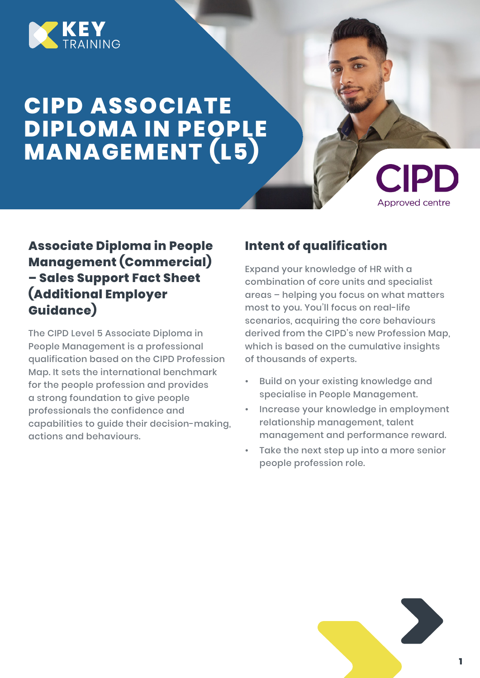

# **CIPD ASSOCIATE DIPLOMA IN PEOPLE MANAGEMENT (L5)**



# **Associate Diploma in People Management (Commercial) – Sales Support Fact Sheet (Additional Employer Guidance)**

The CIPD Level 5 Associate Diploma in People Management is a professional qualification based on the CIPD Profession Map. It sets the international benchmark for the people profession and provides a strong foundation to give people professionals the confidence and capabilities to guide their decision-making, actions and behaviours.

## **Intent of qualification**

Expand your knowledge of HR with a combination of core units and specialist areas – helping you focus on what matters most to you. You'll focus on real-life scenarios, acquiring the core behaviours derived from the CIPD's new Profession Map, which is based on the cumulative insights of thousands of experts.

- Build on your existing knowledge and specialise in People Management.
- Increase your knowledge in employment relationship management, talent management and performance reward.
- Take the next step up into a more senior people profession role.

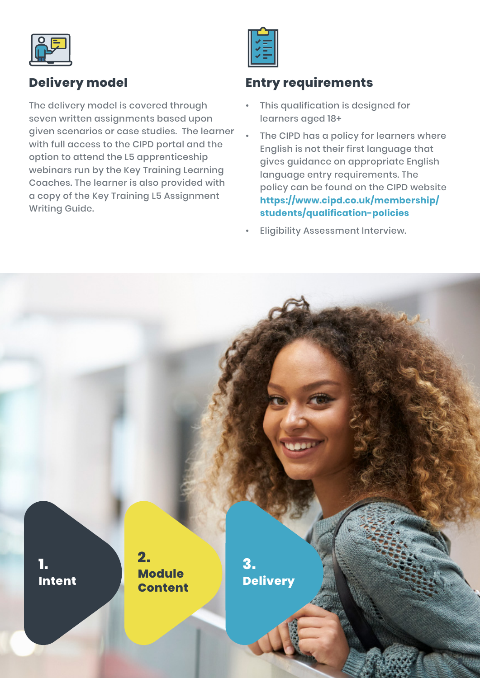

## **Delivery model**

The delivery model is covered through seven written assignments based upon given scenarios or case studies. The learner with full access to the CIPD portal and the option to attend the L5 apprenticeship webinars run by the Key Training Learning Coaches. The learner is also provided with a copy of the Key Training L5 Assignment Writing Guide.

### **Entry requirements**

- This qualification is designed for learners aged 18+
- The CIPD has a policy for learners where English is not their first language that gives guidance on appropriate English language entry requirements. The policy can be found on the CIPD website **https://www.cipd.co.uk/membership/ students/qualification-policies**
- Eligibility Assessment Interview.